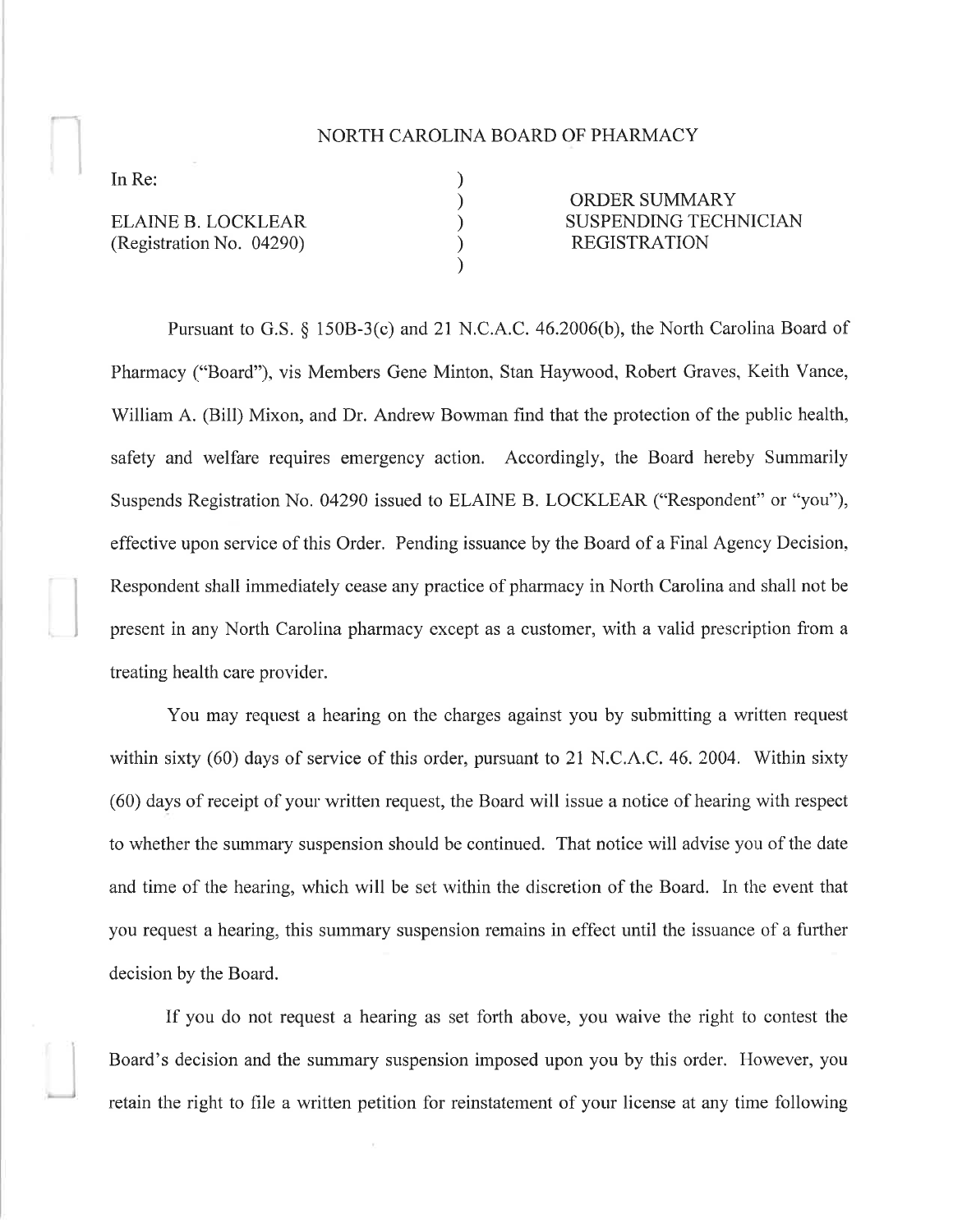## NORTH CAROLINA BOARD OF PHARMACY

) ) ) ) )

In Re:

ELAINE B. LOCKLEAR (Registration No. 04290)

ORDER SUMMARY SUSPENDING TECHNICIAN REGISTRATION

Pursuant to G.S. \$ 1508-3(c) and 2l N.C.A.C. 46.2006(b), the North Carolina Board of Pharmacy ("Board"), vis Members Gene Minton, Stan Haywood, Robert Graves, Keith Vance, William A. (Bill) Mixon, and Dr. Andrew Bowman find that the protection of the public health, safety and welfare requires emergency action. Accordingly, the Board hereby Summarily Suspends Registration No. 04290 issued to ELAINE B. LOCKLEAR ("Respondent" or "you"), effective upon service of this Order. Pending issuance by the Board of a Final Agency Decision, Respondent shall immediately cease any practice of pharmacy in North Carolina and shall not be present in any North Carolina pharmacy except as a customer, with a valid prescription from a treating health care provider.

You may request a hearing on the charges against you by submitting a written request within sixty (60) days of service of this order, pursuant to 21 N.C.A.C. 46. 2004. Within sixty (60) days of receipt of your written request, the Board will issue a notice of hearing with respect to whether the summary suspension should be continued. That notice will advise you of the date and time of the hearing, which will be set within the discretion of the Board. In the event that you request a hearing, this summary suspension remains in effect until the issuance of a further decision by the Board.

If you do not request a hearing as set forth above, you waive the right to contest the Board's decision and the swnmary suspension imposed upon you by this order. However, you retain the right to file a written petition for reinstatement of your license at any time following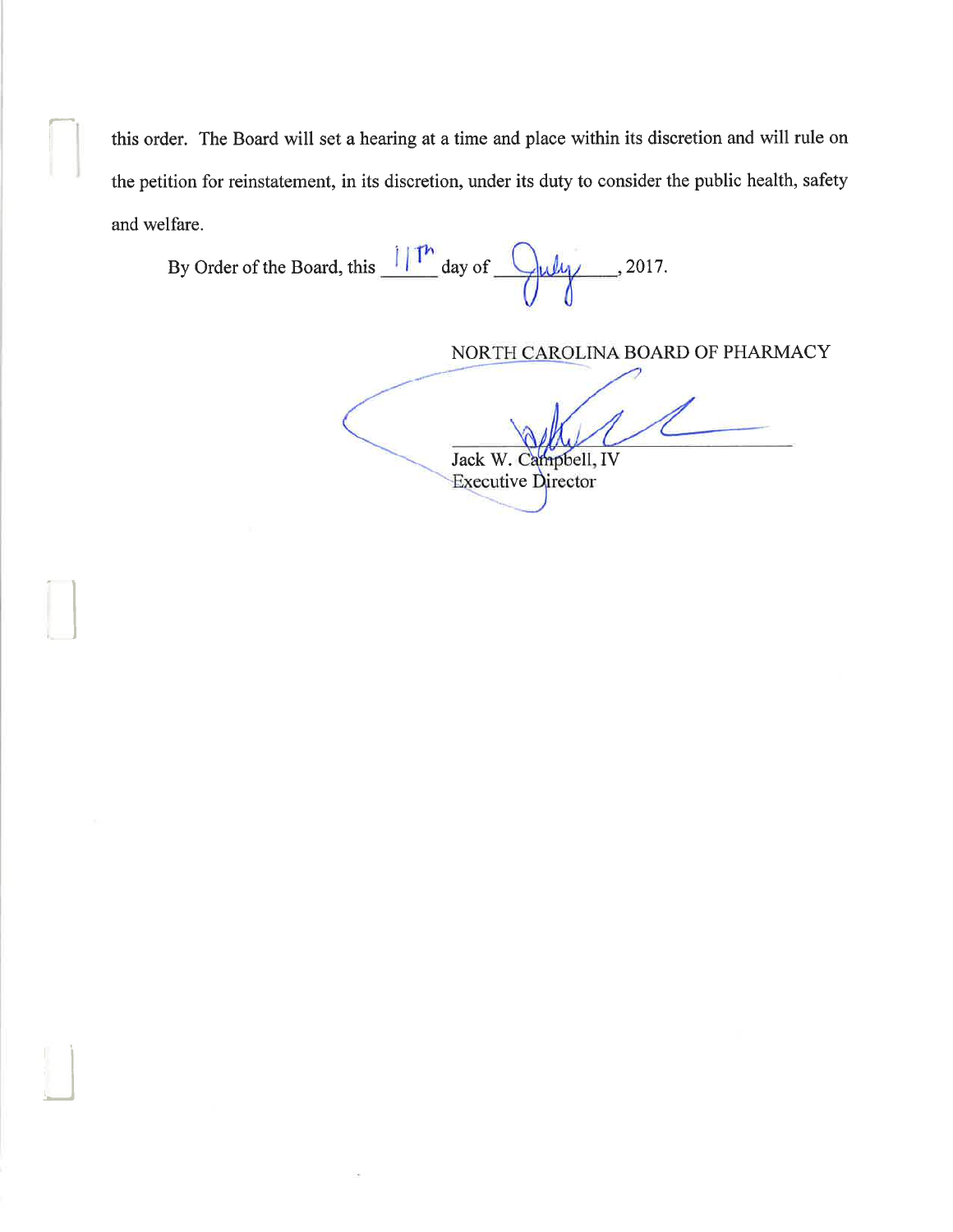this order. The Board will set a hearing at a time and place within its discretion and will rule on the petition for reinstatement, in its discretion, under its duty to consider the public health, safety and welfare.

By Order of the Board, this  $\frac{|\| \mathbb{T}^h|}{\| \cdot \| \cdot \|}$  day of  $\frac{h}{\| \cdot \| \cdot \|}$  2017.

NORTH CAROLINA BOARD OF PHARMACY

Jack W. Campbell, IV Executive Director